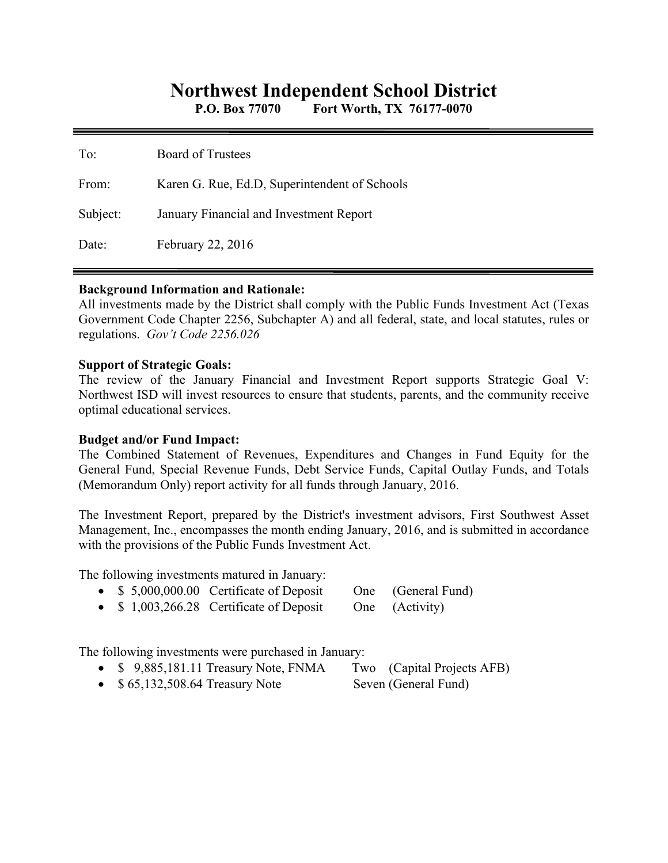# **Northwest Independent School District**

**P.O. Box 77070 Fort Worth, TX 76177-0070** 

| To:      | <b>Board of Trustees</b>                      |
|----------|-----------------------------------------------|
| From:    | Karen G. Rue, Ed.D, Superintendent of Schools |
| Subject: | January Financial and Investment Report       |
| Date:    | February 22, 2016                             |

## **Background Information and Rationale:**

All investments made by the District shall comply with the Public Funds Investment Act (Texas Government Code Chapter 2256, Subchapter A) and all federal, state, and local statutes, rules or regulations. *Gov't Code 2256.026* 

#### **Support of Strategic Goals:**

The review of the January Financial and Investment Report supports Strategic Goal V: Northwest ISD will invest resources to ensure that students, parents, and the community receive optimal educational services.

## **Budget and/or Fund Impact:**

The Combined Statement of Revenues, Expenditures and Changes in Fund Equity for the General Fund, Special Revenue Funds, Debt Service Funds, Capital Outlay Funds, and Totals (Memorandum Only) report activity for all funds through January, 2016.

The Investment Report, prepared by the District's investment advisors, First Southwest Asset Management, Inc., encompasses the month ending January, 2016, and is submitted in accordance with the provisions of the Public Funds Investment Act.

The following investments matured in January:

- \$ 5,000,000.00 Certificate of Deposit One (General Fund)
- \$ 1,003,266.28 Certificate of Deposit One (Activity)

The following investments were purchased in January:

- \$ 9,885,181.11 Treasury Note, FNMA Two (Capital Projects AFB)
- \$ 65,132,508.64 Treasury Note Seven (General Fund)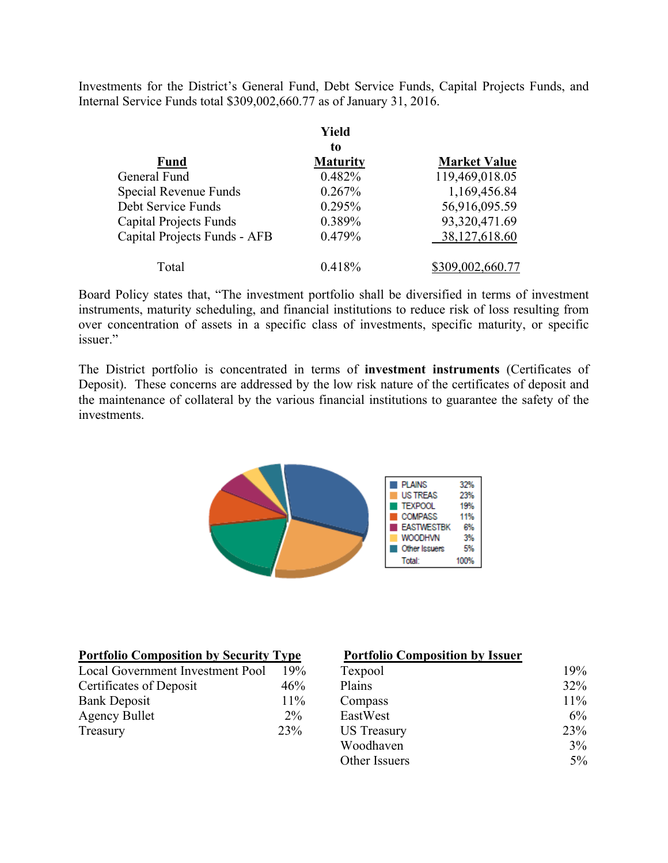Investments for the District's General Fund, Debt Service Funds, Capital Projects Funds, and Internal Service Funds total \$309,002,660.77 as of January 31, 2016.

|                               | Yield           |                     |
|-------------------------------|-----------------|---------------------|
|                               | to              |                     |
| <b>Fund</b>                   | <b>Maturity</b> | <b>Market Value</b> |
| General Fund                  | 0.482%          | 119,469,018.05      |
| Special Revenue Funds         | 0.267%          | 1,169,456.84        |
| Debt Service Funds            | 0.295%          | 56,916,095.59       |
| <b>Capital Projects Funds</b> | 0.389%          | 93,320,471.69       |
| Capital Projects Funds - AFB  | 0.479%          | 38,127,618.60       |
| Total                         | 0.418%          | \$309,002,660.77    |

Board Policy states that, "The investment portfolio shall be diversified in terms of investment instruments, maturity scheduling, and financial institutions to reduce risk of loss resulting from over concentration of assets in a specific class of investments, specific maturity, or specific issuer."

The District portfolio is concentrated in terms of **investment instruments** (Certificates of Deposit). These concerns are addressed by the low risk nature of the certificates of deposit and the maintenance of collateral by the various financial institutions to guarantee the safety of the investments.



| <b>Portfolio Composition by Security Type</b> |       | <b>Portfolio Composition by Issuer</b> |        |
|-----------------------------------------------|-------|----------------------------------------|--------|
| Local Government Investment Pool              | 19%   | Texpool                                | 19%    |
| Certificates of Deposit                       | 46%   | Plains                                 | 32%    |
| <b>Bank Deposit</b>                           | 11%   | Compass                                | $11\%$ |
| <b>Agency Bullet</b>                          | $2\%$ | EastWest                               | 6%     |
| Treasury                                      | 23%   | <b>US</b> Treasury                     | 23%    |
|                                               |       | Woodhaven                              | 3%     |
|                                               |       | Other Issuers                          | $5\%$  |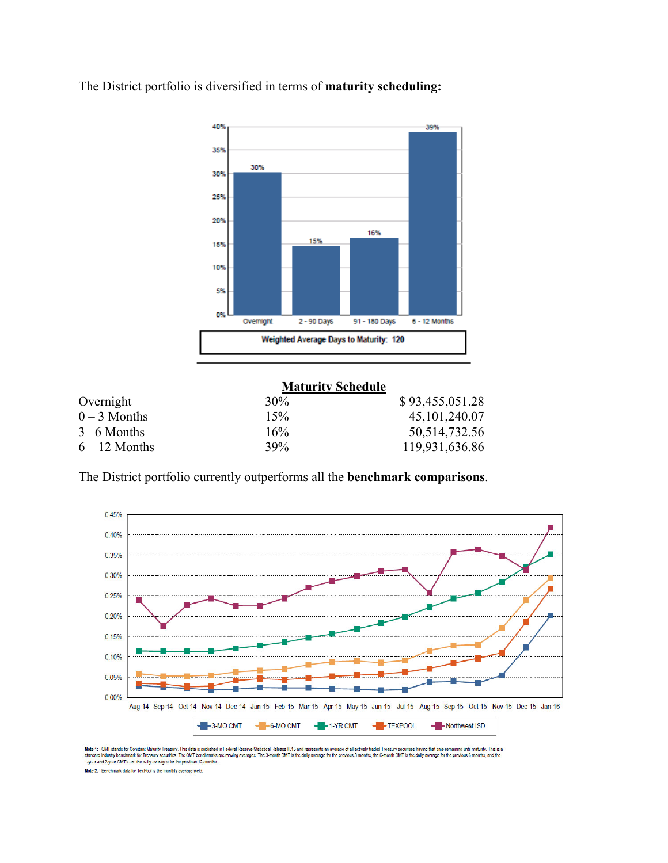The District portfolio is diversified in terms of **maturity scheduling:** 



#### **Maturity Schedule**

| Overnight       | 30% | \$93,455,051.28  |
|-----------------|-----|------------------|
| $0 - 3$ Months  | 15% | 45, 101, 240.07  |
| $3 - 6$ Months  | 16% | 50, 514, 732. 56 |
| $6 - 12$ Months | 39% | 119,931,636.86   |

The District portfolio currently outperforms all the **benchmark comparisons**.



Note 1: CMT stands for Constant Maturity Treasury. This data is published in Federal Reserve Statistical Release 1:15 and represents an average of all actively traded Treasury securities having that time remaining until ma

Note 2: Benchmark data for TexPool is the monthly average yield.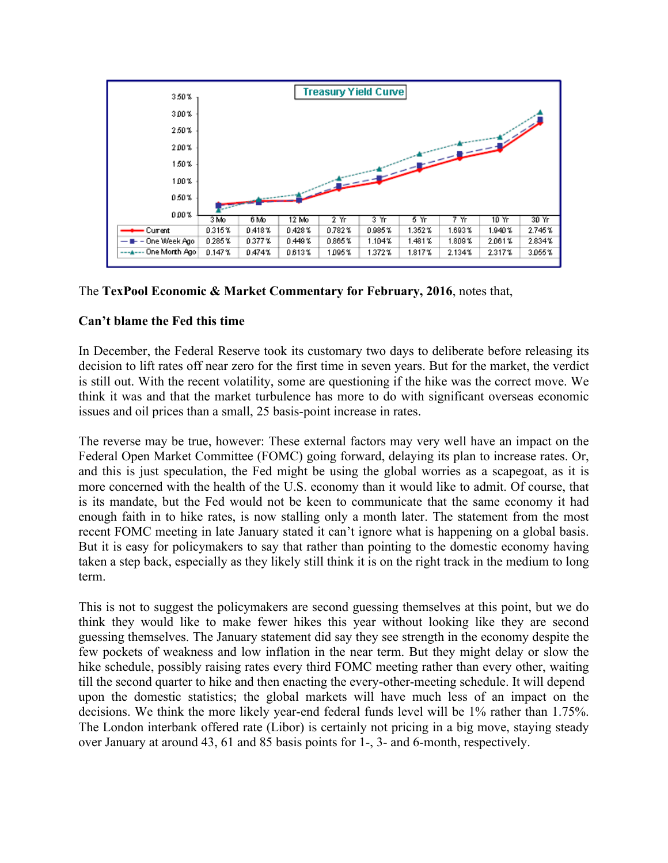![](_page_3_Figure_0.jpeg)

# The **TexPool Economic & Market Commentary for February, 2016**, notes that,

# **Can't blame the Fed this time**

In December, the Federal Reserve took its customary two days to deliberate before releasing its decision to lift rates off near zero for the first time in seven years. But for the market, the verdict is still out. With the recent volatility, some are questioning if the hike was the correct move. We think it was and that the market turbulence has more to do with significant overseas economic issues and oil prices than a small, 25 basis-point increase in rates.

The reverse may be true, however: These external factors may very well have an impact on the Federal Open Market Committee (FOMC) going forward, delaying its plan to increase rates. Or, and this is just speculation, the Fed might be using the global worries as a scapegoat, as it is more concerned with the health of the U.S. economy than it would like to admit. Of course, that is its mandate, but the Fed would not be keen to communicate that the same economy it had enough faith in to hike rates, is now stalling only a month later. The statement from the most recent FOMC meeting in late January stated it can't ignore what is happening on a global basis. But it is easy for policymakers to say that rather than pointing to the domestic economy having taken a step back, especially as they likely still think it is on the right track in the medium to long term.

This is not to suggest the policymakers are second guessing themselves at this point, but we do think they would like to make fewer hikes this year without looking like they are second guessing themselves. The January statement did say they see strength in the economy despite the few pockets of weakness and low inflation in the near term. But they might delay or slow the hike schedule, possibly raising rates every third FOMC meeting rather than every other, waiting till the second quarter to hike and then enacting the every-other-meeting schedule. It will depend upon the domestic statistics; the global markets will have much less of an impact on the decisions. We think the more likely year-end federal funds level will be 1% rather than 1.75%. The London interbank offered rate (Libor) is certainly not pricing in a big move, staying steady over January at around 43, 61 and 85 basis points for 1-, 3- and 6-month, respectively.